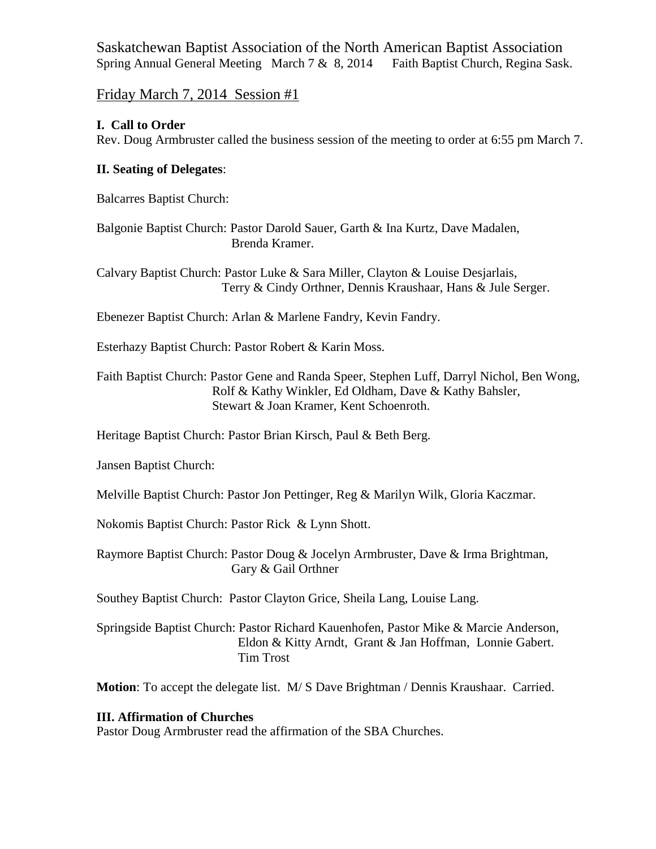Saskatchewan Baptist Association of the North American Baptist Association Spring Annual General Meeting March 7 & 8, 2014 Faith Baptist Church, Regina Sask.

# Friday March 7, 2014 Session #1

#### **I. Call to Order**

Rev. Doug Armbruster called the business session of the meeting to order at 6:55 pm March 7.

#### **II. Seating of Delegates**:

Balcarres Baptist Church:

Balgonie Baptist Church: Pastor Darold Sauer, Garth & Ina Kurtz, Dave Madalen, Brenda Kramer.

Calvary Baptist Church: Pastor Luke & Sara Miller, Clayton & Louise Desjarlais, Terry & Cindy Orthner, Dennis Kraushaar, Hans & Jule Serger.

Ebenezer Baptist Church: Arlan & Marlene Fandry, Kevin Fandry.

Esterhazy Baptist Church: Pastor Robert & Karin Moss.

Faith Baptist Church: Pastor Gene and Randa Speer, Stephen Luff, Darryl Nichol, Ben Wong, Rolf & Kathy Winkler, Ed Oldham, Dave & Kathy Bahsler, Stewart & Joan Kramer, Kent Schoenroth.

Heritage Baptist Church: Pastor Brian Kirsch, Paul & Beth Berg.

Jansen Baptist Church:

Melville Baptist Church: Pastor Jon Pettinger, Reg & Marilyn Wilk, Gloria Kaczmar.

Nokomis Baptist Church: Pastor Rick & Lynn Shott.

Raymore Baptist Church: Pastor Doug & Jocelyn Armbruster, Dave & Irma Brightman, Gary & Gail Orthner

Southey Baptist Church: Pastor Clayton Grice, Sheila Lang, Louise Lang.

Springside Baptist Church: Pastor Richard Kauenhofen, Pastor Mike & Marcie Anderson, Eldon & Kitty Arndt, Grant & Jan Hoffman, Lonnie Gabert. Tim Trost

**Motion**: To accept the delegate list. M/ S Dave Brightman / Dennis Kraushaar. Carried.

#### **III. Affirmation of Churches**

Pastor Doug Armbruster read the affirmation of the SBA Churches.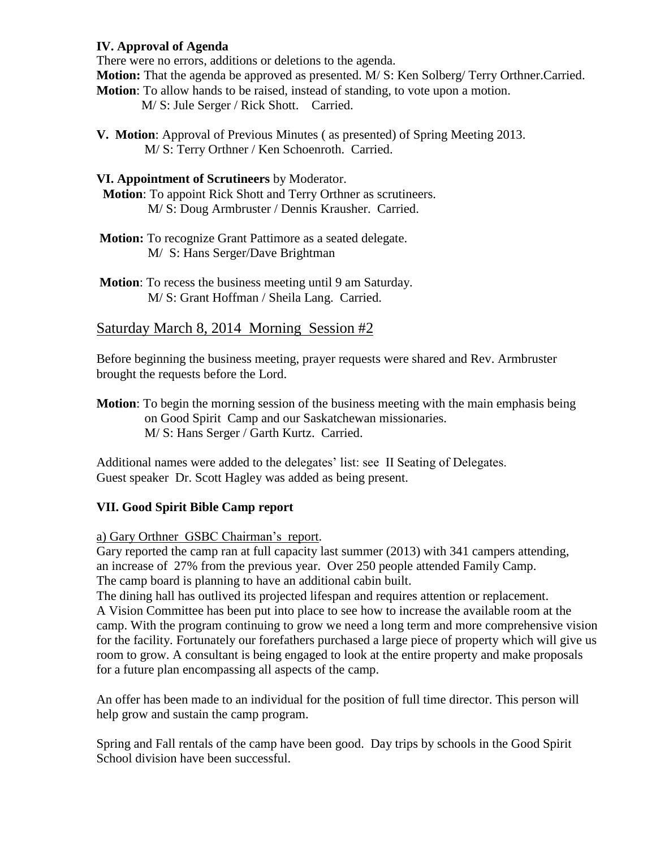## **IV. Approval of Agenda**

There were no errors, additions or deletions to the agenda.

**Motion:** That the agenda be approved as presented. M/ S: Ken Solberg/ Terry Orthner.Carried.

**Motion**: To allow hands to be raised, instead of standing, to vote upon a motion.

M/ S: Jule Serger / Rick Shott. Carried.

**V. Motion**: Approval of Previous Minutes ( as presented) of Spring Meeting 2013. M/ S: Terry Orthner / Ken Schoenroth. Carried.

## **VI. Appointment of Scrutineers** by Moderator.

 **Motion**: To appoint Rick Shott and Terry Orthner as scrutineers. M/ S: Doug Armbruster / Dennis Krausher. Carried.

- **Motion:** To recognize Grant Pattimore as a seated delegate. M/ S: Hans Serger/Dave Brightman
- **Motion**: To recess the business meeting until 9 am Saturday. M/ S: Grant Hoffman / Sheila Lang. Carried.

# Saturday March 8, 2014 Morning Session #2

Before beginning the business meeting, prayer requests were shared and Rev. Armbruster brought the requests before the Lord.

**Motion**: To begin the morning session of the business meeting with the main emphasis being on Good Spirit Camp and our Saskatchewan missionaries. M/ S: Hans Serger / Garth Kurtz. Carried.

Additional names were added to the delegates' list: see II Seating of Delegates. Guest speaker Dr. Scott Hagley was added as being present.

# **VII. Good Spirit Bible Camp report**

a) Gary Orthner GSBC Chairman's report.

Gary reported the camp ran at full capacity last summer (2013) with 341 campers attending, an increase of 27% from the previous year. Over 250 people attended Family Camp. The camp board is planning to have an additional cabin built.

The dining hall has outlived its projected lifespan and requires attention or replacement. A Vision Committee has been put into place to see how to increase the available room at the camp. With the program continuing to grow we need a long term and more comprehensive vision for the facility. Fortunately our forefathers purchased a large piece of property which will give us room to grow. A consultant is being engaged to look at the entire property and make proposals for a future plan encompassing all aspects of the camp.

An offer has been made to an individual for the position of full time director. This person will help grow and sustain the camp program.

Spring and Fall rentals of the camp have been good. Day trips by schools in the Good Spirit School division have been successful.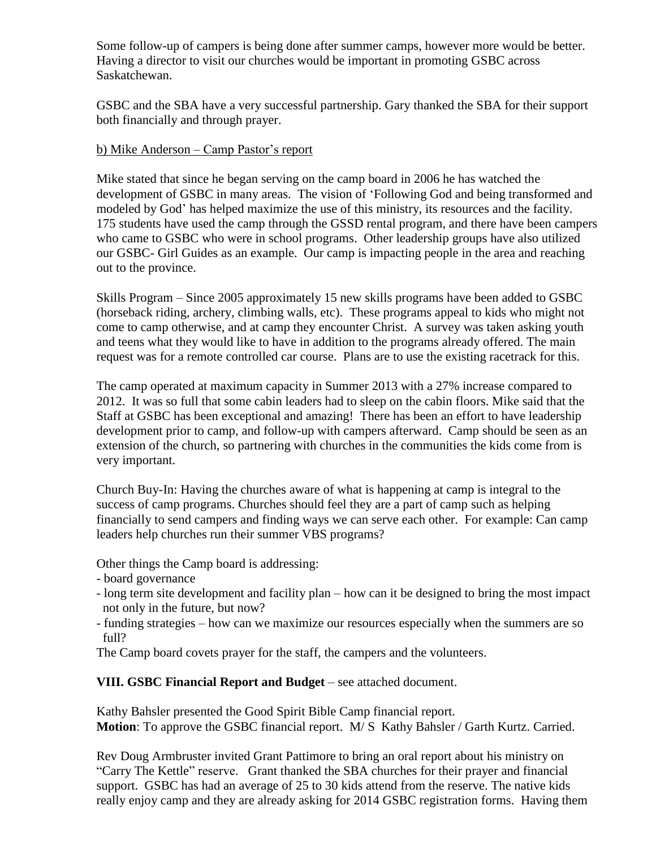Some follow-up of campers is being done after summer camps, however more would be better. Having a director to visit our churches would be important in promoting GSBC across Saskatchewan.

GSBC and the SBA have a very successful partnership. Gary thanked the SBA for their support both financially and through prayer.

#### b) Mike Anderson – Camp Pastor's report

Mike stated that since he began serving on the camp board in 2006 he has watched the development of GSBC in many areas. The vision of 'Following God and being transformed and modeled by God' has helped maximize the use of this ministry, its resources and the facility. 175 students have used the camp through the GSSD rental program, and there have been campers who came to GSBC who were in school programs. Other leadership groups have also utilized our GSBC- Girl Guides as an example. Our camp is impacting people in the area and reaching out to the province.

Skills Program – Since 2005 approximately 15 new skills programs have been added to GSBC (horseback riding, archery, climbing walls, etc). These programs appeal to kids who might not come to camp otherwise, and at camp they encounter Christ. A survey was taken asking youth and teens what they would like to have in addition to the programs already offered. The main request was for a remote controlled car course. Plans are to use the existing racetrack for this.

The camp operated at maximum capacity in Summer 2013 with a 27% increase compared to 2012. It was so full that some cabin leaders had to sleep on the cabin floors. Mike said that the Staff at GSBC has been exceptional and amazing! There has been an effort to have leadership development prior to camp, and follow-up with campers afterward. Camp should be seen as an extension of the church, so partnering with churches in the communities the kids come from is very important.

Church Buy-In: Having the churches aware of what is happening at camp is integral to the success of camp programs. Churches should feel they are a part of camp such as helping financially to send campers and finding ways we can serve each other. For example: Can camp leaders help churches run their summer VBS programs?

Other things the Camp board is addressing:

- board governance

- long term site development and facility plan how can it be designed to bring the most impact not only in the future, but now?
- funding strategies how can we maximize our resources especially when the summers are so full?
- The Camp board covets prayer for the staff, the campers and the volunteers.

## **VIII. GSBC Financial Report and Budget** – see attached document.

Kathy Bahsler presented the Good Spirit Bible Camp financial report. **Motion**: To approve the GSBC financial report. M/ S Kathy Bahsler / Garth Kurtz. Carried.

Rev Doug Armbruster invited Grant Pattimore to bring an oral report about his ministry on "Carry The Kettle" reserve. Grant thanked the SBA churches for their prayer and financial support. GSBC has had an average of 25 to 30 kids attend from the reserve. The native kids really enjoy camp and they are already asking for 2014 GSBC registration forms. Having them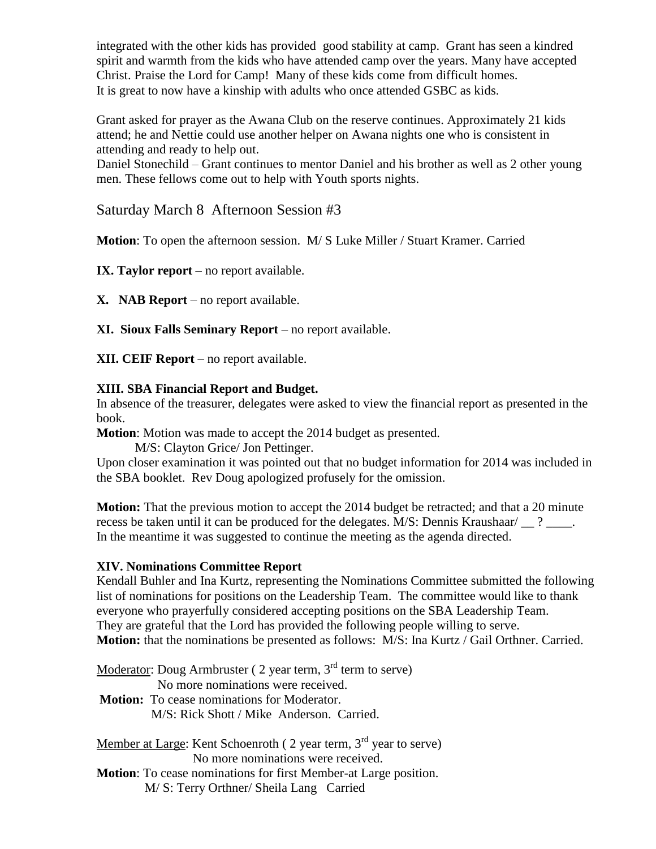integrated with the other kids has provided good stability at camp. Grant has seen a kindred spirit and warmth from the kids who have attended camp over the years. Many have accepted Christ. Praise the Lord for Camp! Many of these kids come from difficult homes. It is great to now have a kinship with adults who once attended GSBC as kids.

Grant asked for prayer as the Awana Club on the reserve continues. Approximately 21 kids attend; he and Nettie could use another helper on Awana nights one who is consistent in attending and ready to help out.

Daniel Stonechild – Grant continues to mentor Daniel and his brother as well as 2 other young men. These fellows come out to help with Youth sports nights.

Saturday March 8 Afternoon Session #3

**Motion**: To open the afternoon session. M/ S Luke Miller / Stuart Kramer. Carried

**IX. Taylor report** – no report available.

**X. NAB Report** – no report available.

**XI. Sioux Falls Seminary Report** – no report available.

**XII. CEIF Report** – no report available.

## **XIII. SBA Financial Report and Budget.**

In absence of the treasurer, delegates were asked to view the financial report as presented in the book.

**Motion**: Motion was made to accept the 2014 budget as presented.

M/S: Clayton Grice/ Jon Pettinger.

Upon closer examination it was pointed out that no budget information for 2014 was included in the SBA booklet. Rev Doug apologized profusely for the omission.

**Motion:** That the previous motion to accept the 2014 budget be retracted; and that a 20 minute recess be taken until it can be produced for the delegates. M/S: Dennis Kraushaar/ \_\_ ? \_\_\_\_. In the meantime it was suggested to continue the meeting as the agenda directed.

## **XIV. Nominations Committee Report**

Kendall Buhler and Ina Kurtz, representing the Nominations Committee submitted the following list of nominations for positions on the Leadership Team. The committee would like to thank everyone who prayerfully considered accepting positions on the SBA Leadership Team. They are grateful that the Lord has provided the following people willing to serve. **Motion:** that the nominations be presented as follows: M/S: Ina Kurtz / Gail Orthner. Carried.

Moderator: Doug Armbruster ( $2$  year term,  $3<sup>rd</sup>$  term to serve)

No more nominations were received.

**Motion:** To cease nominations for Moderator. M/S: Rick Shott / Mike Anderson. Carried.

Member at Large: Kent Schoenroth ( $2$  year term,  $3<sup>rd</sup>$  year to serve) No more nominations were received.

**Motion**: To cease nominations for first Member-at Large position.

M/ S: Terry Orthner/ Sheila Lang Carried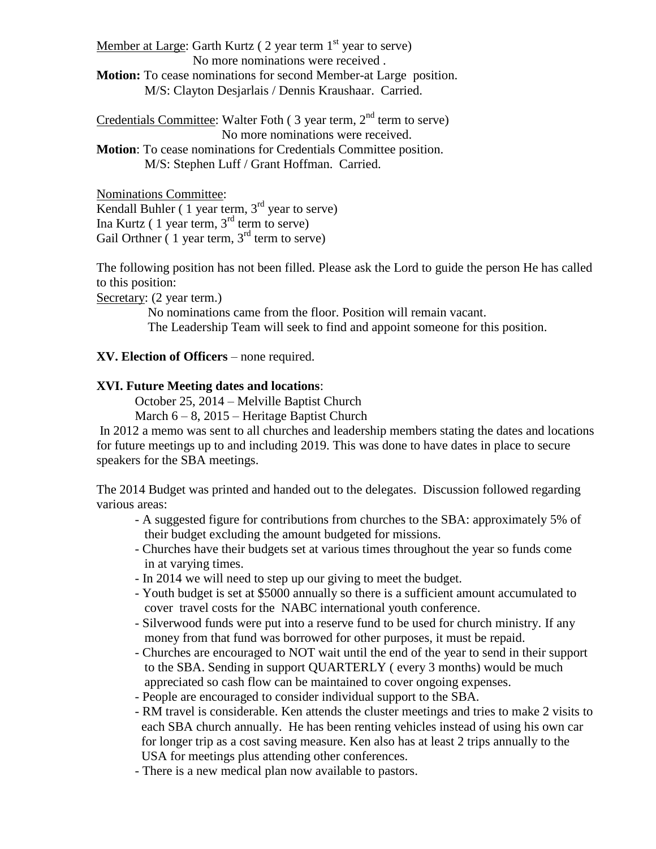Member at Large: Garth Kurtz ( $2$  year term  $1<sup>st</sup>$  year to serve) No more nominations were received .

**Motion:** To cease nominations for second Member-at Large position. M/S: Clayton Desjarlais / Dennis Kraushaar. Carried.

Credentials Committee: Walter Foth  $(3 \text{ year term}, 2^{\text{nd}} \text{ term to serve})$  No more nominations were received. **Motion**: To cease nominations for Credentials Committee position. M/S: Stephen Luff / Grant Hoffman. Carried.

Nominations Committee: Kendall Buhler  $(1$  year term,  $3<sup>rd</sup>$  year to serve) Ina Kurtz  $(1$  year term,  $3<sup>rd</sup>$  term to serve) Gail Orthner  $(1$  year term,  $3<sup>rd</sup>$  term to serve)

The following position has not been filled. Please ask the Lord to guide the person He has called to this position:

Secretary: (2 year term.)

 No nominations came from the floor. Position will remain vacant. The Leadership Team will seek to find and appoint someone for this position.

## **XV. Election of Officers** – none required.

# **XVI. Future Meeting dates and locations**:

October 25, 2014 – Melville Baptist Church

March  $6 - 8$ , 2015 – Heritage Baptist Church

In 2012 a memo was sent to all churches and leadership members stating the dates and locations for future meetings up to and including 2019. This was done to have dates in place to secure speakers for the SBA meetings.

The 2014 Budget was printed and handed out to the delegates. Discussion followed regarding various areas:

- A suggested figure for contributions from churches to the SBA: approximately 5% of their budget excluding the amount budgeted for missions.
- Churches have their budgets set at various times throughout the year so funds come in at varying times.
- In 2014 we will need to step up our giving to meet the budget.
- Youth budget is set at \$5000 annually so there is a sufficient amount accumulated to cover travel costs for the NABC international youth conference.
- Silverwood funds were put into a reserve fund to be used for church ministry. If any money from that fund was borrowed for other purposes, it must be repaid.
- Churches are encouraged to NOT wait until the end of the year to send in their support to the SBA. Sending in support QUARTERLY ( every 3 months) would be much appreciated so cash flow can be maintained to cover ongoing expenses.
- People are encouraged to consider individual support to the SBA.
- RM travel is considerable. Ken attends the cluster meetings and tries to make 2 visits to each SBA church annually. He has been renting vehicles instead of using his own car for longer trip as a cost saving measure. Ken also has at least 2 trips annually to the USA for meetings plus attending other conferences.
- There is a new medical plan now available to pastors.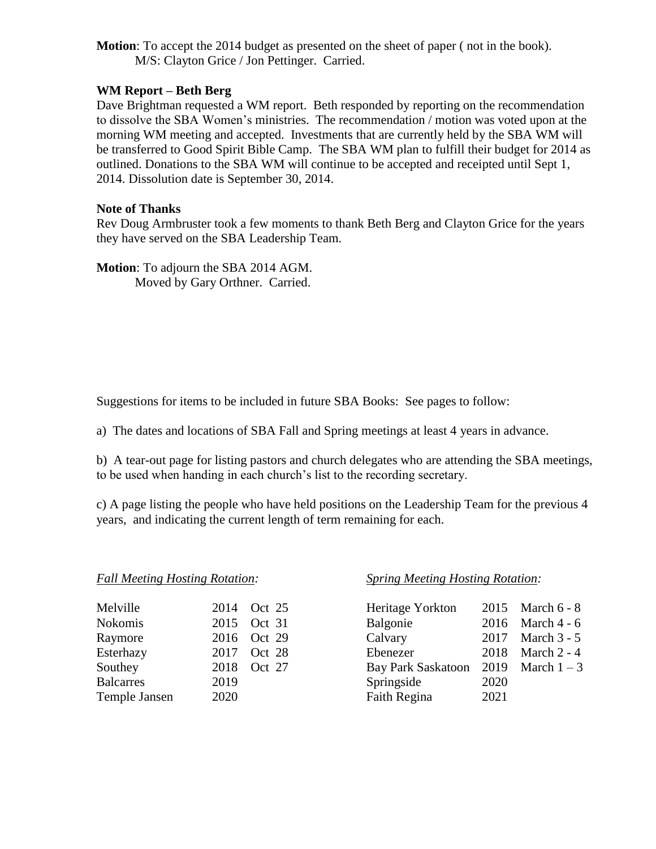**Motion**: To accept the 2014 budget as presented on the sheet of paper ( not in the book). M/S: Clayton Grice / Jon Pettinger. Carried.

#### **WM Report – Beth Berg**

Dave Brightman requested a WM report. Beth responded by reporting on the recommendation to dissolve the SBA Women's ministries. The recommendation / motion was voted upon at the morning WM meeting and accepted. Investments that are currently held by the SBA WM will be transferred to Good Spirit Bible Camp. The SBA WM plan to fulfill their budget for 2014 as outlined. Donations to the SBA WM will continue to be accepted and receipted until Sept 1, 2014. Dissolution date is September 30, 2014.

#### **Note of Thanks**

Rev Doug Armbruster took a few moments to thank Beth Berg and Clayton Grice for the years they have served on the SBA Leadership Team.

**Motion**: To adjourn the SBA 2014 AGM. Moved by Gary Orthner. Carried.

Suggestions for items to be included in future SBA Books: See pages to follow:

a) The dates and locations of SBA Fall and Spring meetings at least 4 years in advance.

b) A tear-out page for listing pastors and church delegates who are attending the SBA meetings, to be used when handing in each church's list to the recording secretary.

c) A page listing the people who have held positions on the Leadership Team for the previous 4 years, and indicating the current length of term remaining for each.

| Melville         |      | 2014 Oct 25 | Heritage Yorkton          | 2015 |
|------------------|------|-------------|---------------------------|------|
| Nokomis          |      | 2015 Oct 31 | Balgonie                  | 2016 |
| Raymore          |      | 2016 Oct 29 | Calvary                   | 2017 |
| Esterhazy        |      | 2017 Oct 28 | Ebenezer                  | 2018 |
| Southey          |      | 2018 Oct 27 | <b>Bay Park Saskatoon</b> | 2019 |
| <b>Balcarres</b> | 2019 |             | Springside                | 2020 |
| Temple Jansen    | 2020 |             | Faith Regina              | 2021 |

#### *Fall Meeting Hosting Rotation: Spring Meeting Hosting Rotation:*

| Melville         |      | 2014 Oct 25 | Heritage Yorkton                      |      | 2015 March 6 - 8   |
|------------------|------|-------------|---------------------------------------|------|--------------------|
| Nokomis          |      | 2015 Oct 31 | Balgonie                              |      | 2016 March 4 - $6$ |
| Raymore          |      | 2016 Oct 29 | Calvary                               |      | 2017 March 3 - 5   |
| Esterhazy        |      | 2017 Oct 28 | Ebenezer                              |      | 2018 March 2 - 4   |
| Southey          |      | 2018 Oct 27 | Bay Park Saskatoon 2019 March $1 - 3$ |      |                    |
| <b>Balcarres</b> | 2019 |             | Springside                            | 2020 |                    |
| Temple Jansen    | 2020 |             | Faith Regina                          | 2021 |                    |
|                  |      |             |                                       |      |                    |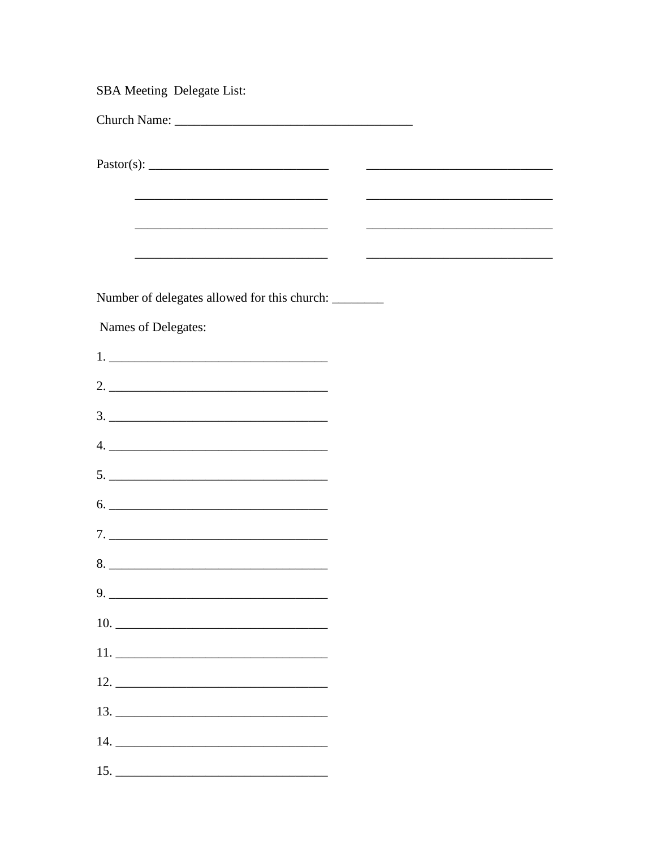| <b>SBA Meeting Delegate List:</b>                                                                                     |  |                                                                                                                      |  |
|-----------------------------------------------------------------------------------------------------------------------|--|----------------------------------------------------------------------------------------------------------------------|--|
|                                                                                                                       |  |                                                                                                                      |  |
|                                                                                                                       |  | <u> 1989 - Johann Stein, mars an deutscher Stein und der Stein und der Stein und der Stein und der Stein und der</u> |  |
| <u> 2000 - Jan James James Barnett, amerikansk politiker (d. 1982)</u>                                                |  |                                                                                                                      |  |
|                                                                                                                       |  | <u> 2000 - Jan James James Jan James James Jan James James Jan James James Jan Jan James James Jan Jan James Jan</u> |  |
| <u> 1989 - Johann Barn, mars ann an t-Amhain an t-Amhain an t-Amhain an t-Amhain an t-Amhain an t-Amhain an t-Amh</u> |  |                                                                                                                      |  |
| Number of delegates allowed for this church: ________                                                                 |  |                                                                                                                      |  |
| Names of Delegates:                                                                                                   |  |                                                                                                                      |  |
|                                                                                                                       |  |                                                                                                                      |  |
|                                                                                                                       |  |                                                                                                                      |  |
|                                                                                                                       |  |                                                                                                                      |  |
| $4. \_$                                                                                                               |  |                                                                                                                      |  |
|                                                                                                                       |  |                                                                                                                      |  |
| $6. \underline{\hspace{2cm}}$                                                                                         |  |                                                                                                                      |  |
|                                                                                                                       |  |                                                                                                                      |  |
| 8.                                                                                                                    |  |                                                                                                                      |  |
|                                                                                                                       |  |                                                                                                                      |  |
|                                                                                                                       |  |                                                                                                                      |  |
| $12. \underline{\hspace{2cm}}$                                                                                        |  |                                                                                                                      |  |
|                                                                                                                       |  |                                                                                                                      |  |
|                                                                                                                       |  |                                                                                                                      |  |
|                                                                                                                       |  |                                                                                                                      |  |